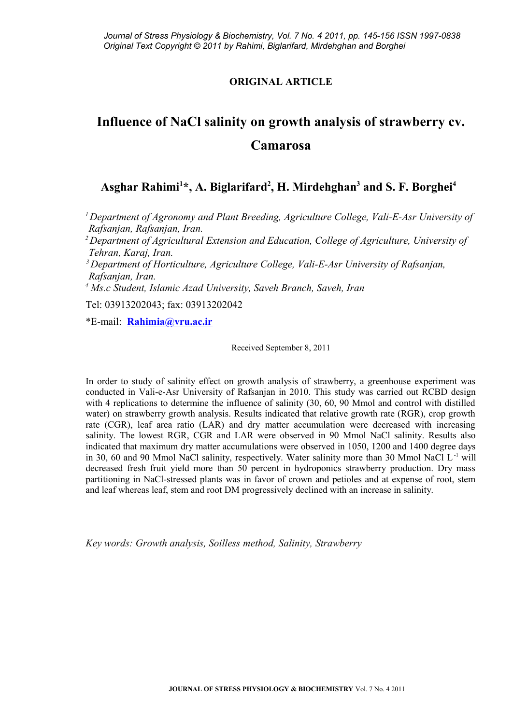# **ORIGINAL ARTICLE**

# **Influence of NaCl salinity on growth analysis of strawberry cv. Camarosa**

# **Asghar Rahimi<sup>1</sup> \*, A. Biglarifard<sup>2</sup> , H. Mirdehghan<sup>3</sup> and S. F. Borghei<sup>4</sup>**

*<sup>1</sup>Department of Agronomy and Plant Breeding, Agriculture College, Vali-E-Asr University of Rafsanjan, Rafsanjan, Iran.* 

*<sup>2</sup>Department of Agricultural Extension and Education, College of Agriculture, University of Tehran, Karaj, Iran.*

*<sup>3</sup>Department of Horticulture, Agriculture College, Vali-E-Asr University of Rafsanjan, Rafsanjan, Iran.* 

*4 Ms.c Student, Islamic Azad University, Saveh Branch, Saveh, Iran*

Tel: 03913202043; fax: 03913202042

\*E-mail: **[Rahimia@vru.ac.ir](mailto:Rahimia@vru.ac.ir)**

Received September 8, 2011

In order to study of salinity effect on growth analysis of strawberry, a greenhouse experiment was conducted in Vali-e-Asr University of Rafsanjan in 2010. This study was carried out RCBD design with 4 replications to determine the influence of salinity (30, 60, 90 Mmol and control with distilled water) on strawberry growth analysis. Results indicated that relative growth rate (RGR), crop growth rate (CGR), leaf area ratio (LAR) and dry matter accumulation were decreased with increasing salinity. The lowest RGR, CGR and LAR were observed in 90 Mmol NaCl salinity. Results also indicated that maximum dry matter accumulations were observed in 1050, 1200 and 1400 degree days in 30, 60 and 90 Mmol NaCl salinity, respectively. Water salinity more than 30 Mmol NaCl L<sup>-1</sup> will decreased fresh fruit yield more than 50 percent in hydroponics strawberry production. Dry mass partitioning in NaCl-stressed plants was in favor of crown and petioles and at expense of root, stem and leaf whereas leaf, stem and root DM progressively declined with an increase in salinity.

*Key words: Growth analysis, Soilless method, Salinity, Strawberry*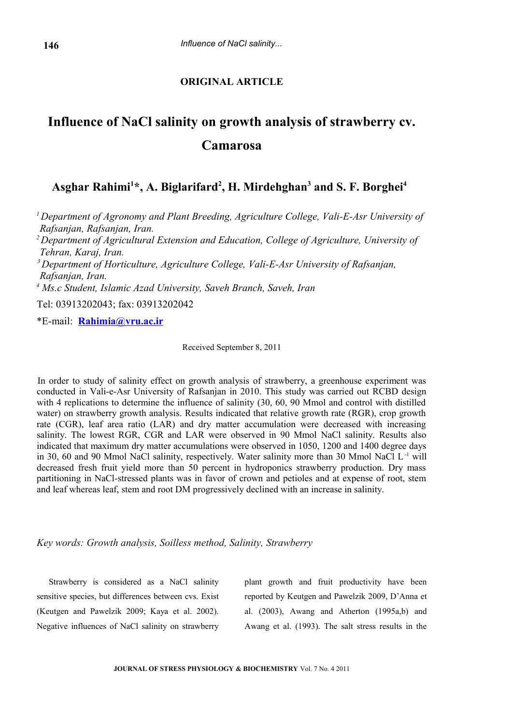## **ORIGINAL ARTICLE**

# **Influence of NaCl salinity on growth analysis of strawberry cv. Camarosa**

# **Asghar Rahimi<sup>1</sup> \*, A. Biglarifard<sup>2</sup> , H. Mirdehghan<sup>3</sup> and S. F. Borghei<sup>4</sup>**

*<sup>1</sup>Department of Agronomy and Plant Breeding, Agriculture College, Vali-E-Asr University of Rafsanjan, Rafsanjan, Iran. <sup>2</sup>Department of Agricultural Extension and Education, College of Agriculture, University of Tehran, Karaj, Iran. <sup>3</sup>Department of Horticulture, Agriculture College, Vali-E-Asr University of Rafsanjan, Rafsanjan, Iran. 4 Ms.c Student, Islamic Azad University, Saveh Branch, Saveh, Iran* Tel: 03913202043; fax: 03913202042

\*E-mail: **[Rahimia@vru.ac.ir](mailto:Rahimia@vru.ac.ir)**

Received September 8, 2011

In order to study of salinity effect on growth analysis of strawberry, a greenhouse experiment was conducted in Vali-e-Asr University of Rafsanjan in 2010. This study was carried out RCBD design with 4 replications to determine the influence of salinity (30, 60, 90 Mmol and control with distilled water) on strawberry growth analysis. Results indicated that relative growth rate (RGR), crop growth rate (CGR), leaf area ratio (LAR) and dry matter accumulation were decreased with increasing salinity. The lowest RGR, CGR and LAR were observed in 90 Mmol NaCl salinity. Results also indicated that maximum dry matter accumulations were observed in 1050, 1200 and 1400 degree days in 30, 60 and 90 Mmol NaCl salinity, respectively. Water salinity more than 30 Mmol NaCl L-1 will decreased fresh fruit yield more than 50 percent in hydroponics strawberry production. Dry mass partitioning in NaCl-stressed plants was in favor of crown and petioles and at expense of root, stem and leaf whereas leaf, stem and root DM progressively declined with an increase in salinity.

*Key words: Growth analysis, Soilless method, Salinity, Strawberry* 

Strawberry is considered as a NaCl salinity sensitive species, but differences between cvs. Exist (Keutgen and Pawelzik 2009; Kaya et al. 2002). Negative influences of NaCl salinity on strawberry plant growth and fruit productivity have been reported by Keutgen and Pawelzik 2009, D'Anna et al. (2003), Awang and Atherton (1995a,b) and Awang et al. (1993). The salt stress results in the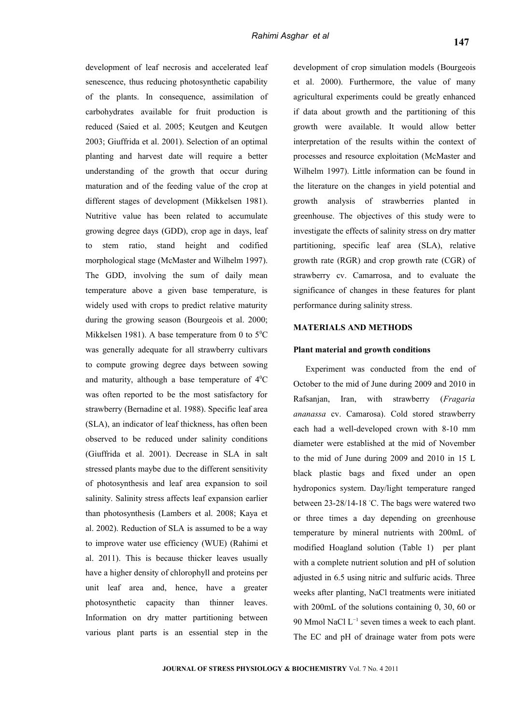development of leaf necrosis and accelerated leaf senescence, thus reducing photosynthetic capability of the plants. In consequence, assimilation of carbohydrates available for fruit production is reduced (Saied et al. 2005; Keutgen and Keutgen 2003; Giuffrida et al. 2001). Selection of an optimal planting and harvest date will require a better understanding of the growth that occur during maturation and of the feeding value of the crop at different stages of development (Mikkelsen 1981). Nutritive value has been related to accumulate growing degree days (GDD), crop age in days, leaf to stem ratio, stand height and codified morphological stage (McMaster and Wilhelm 1997). The GDD, involving the sum of daily mean temperature above a given base temperature, is widely used with crops to predict relative maturity during the growing season (Bourgeois et al. 2000; Mikkelsen 1981). A base temperature from 0 to  $5^{\circ}$ C was generally adequate for all strawberry cultivars to compute growing degree days between sowing and maturity, although a base temperature of  $4^{\circ}$ C was often reported to be the most satisfactory for strawberry (Bernadine et al. 1988). Specific leaf area (SLA), an indicator of leaf thickness, has often been observed to be reduced under salinity conditions (Giuffrida et al. 2001). Decrease in SLA in salt stressed plants maybe due to the different sensitivity of photosynthesis and leaf area expansion to soil salinity. Salinity stress affects leaf expansion earlier than photosynthesis (Lambers et al. 2008; Kaya et al. 2002). Reduction of SLA is assumed to be a way to improve water use efficiency (WUE) (Rahimi et al. 2011). This is because thicker leaves usually have a higher density of chlorophyll and proteins per unit leaf area and, hence, have a greater photosynthetic capacity than thinner leaves. Information on dry matter partitioning between various plant parts is an essential step in the

development of crop simulation models (Bourgeois et al. 2000). Furthermore, the value of many agricultural experiments could be greatly enhanced if data about growth and the partitioning of this growth were available. It would allow better interpretation of the results within the context of processes and resource exploitation (McMaster and Wilhelm 1997). Little information can be found in the literature on the changes in yield potential and growth analysis of strawberries planted in greenhouse. The objectives of this study were to investigate the effects of salinity stress on dry matter partitioning, specific leaf area (SLA), relative growth rate (RGR) and crop growth rate (CGR) of strawberry cv. Camarrosa, and to evaluate the significance of changes in these features for plant performance during salinity stress.

## **MATERIALS AND METHODS**

#### **Plant material and growth conditions**

Experiment was conducted from the end of October to the mid of June during 2009 and 2010 in Rafsanjan, Iran, with strawberry (*Fragaria ananassa* cv. Camarosa). Cold stored strawberry each had a well-developed crown with 8-10 mm diameter were established at the mid of November to the mid of June during 2009 and 2010 in 15 L black plastic bags and fixed under an open hydroponics system. Day/light temperature ranged between 23-28/14-18 ◦C. The bags were watered two or three times a day depending on greenhouse temperature by mineral nutrients with 200mL of modified Hoagland solution (Table 1) per plant with a complete nutrient solution and pH of solution adjusted in 6.5 using nitric and sulfuric acids. Three weeks after planting, NaCl treatments were initiated with 200mL of the solutions containing 0, 30, 60 or 90 Mmol NaCl  $L^{-1}$  seven times a week to each plant. The EC and pH of drainage water from pots were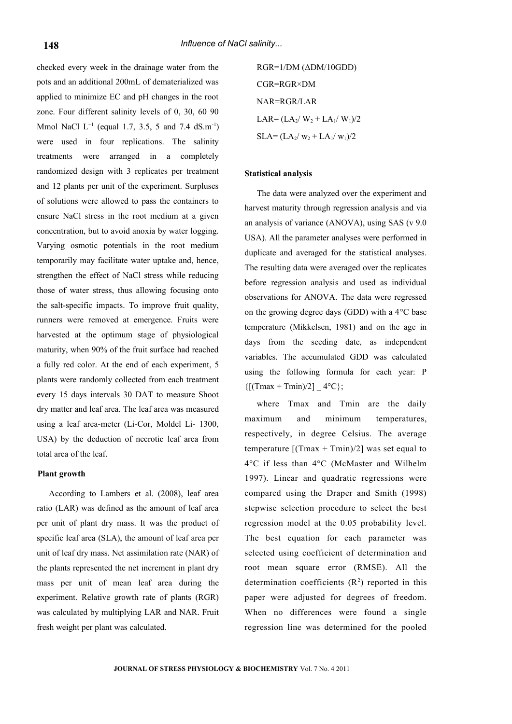checked every week in the drainage water from the pots and an additional 200mL of dematerialized was applied to minimize EC and pH changes in the root zone. Four different salinity levels of 0, 30, 60 90 Mmol NaCl  $L^{-1}$  (equal 1.7, 3.5, 5 and 7.4 dS.m<sup>-1</sup>) were used in four replications. The salinity treatments were arranged in a completely randomized design with 3 replicates per treatment and 12 plants per unit of the experiment. Surpluses of solutions were allowed to pass the containers to ensure NaCl stress in the root medium at a given concentration, but to avoid anoxia by water logging. Varying osmotic potentials in the root medium temporarily may facilitate water uptake and, hence, strengthen the effect of NaCl stress while reducing those of water stress, thus allowing focusing onto the salt-specific impacts. To improve fruit quality, runners were removed at emergence. Fruits were harvested at the optimum stage of physiological maturity, when 90% of the fruit surface had reached a fully red color. At the end of each experiment, 5 plants were randomly collected from each treatment every 15 days intervals 30 DAT to measure Shoot dry matter and leaf area. The leaf area was measured using a leaf area-meter (Li-Cor, Moldel Li- 1300, USA) by the deduction of necrotic leaf area from total area of the leaf.

#### **Plant growth**

According to Lambers et al. (2008), leaf area ratio (LAR) was defined as the amount of leaf area per unit of plant dry mass. It was the product of specific leaf area (SLA), the amount of leaf area per unit of leaf dry mass. Net assimilation rate (NAR) of the plants represented the net increment in plant dry mass per unit of mean leaf area during the experiment. Relative growth rate of plants (RGR) was calculated by multiplying LAR and NAR. Fruit fresh weight per plant was calculated.

RGR=1/DM (ΔDM/10GDD) CGR=RGR×DM NAR=RGR/LAR  $LAR = (LA_2/W_2 + LA_1/W_1)/2$  $SLA = (LA_2/w_2 + LA_1/w_1)/2$ 

### **Statistical analysis**

The data were analyzed over the experiment and harvest maturity through regression analysis and via an analysis of variance (ANOVA), using SAS (v 9.0 USA). All the parameter analyses were performed in duplicate and averaged for the statistical analyses. The resulting data were averaged over the replicates before regression analysis and used as individual observations for ANOVA. The data were regressed on the growing degree days (GDD) with a 4°C base temperature (Mikkelsen, 1981) and on the age in days from the seeding date, as independent variables. The accumulated GDD was calculated using the following formula for each year: P  ${[(Tmax + Tmin)/2]}$   $4^{\circ}C$ ;

where Tmax and Tmin are the daily maximum and minimum temperatures, respectively, in degree Celsius. The average temperature  $[(Tmax + Tmin)/2]$  was set equal to 4°C if less than 4°C (McMaster and Wilhelm 1997). Linear and quadratic regressions were compared using the Draper and Smith (1998) stepwise selection procedure to select the best regression model at the 0.05 probability level. The best equation for each parameter was selected using coefficient of determination and root mean square error (RMSE). All the determination coefficients  $(R<sup>2</sup>)$  reported in this paper were adjusted for degrees of freedom. When no differences were found a single regression line was determined for the pooled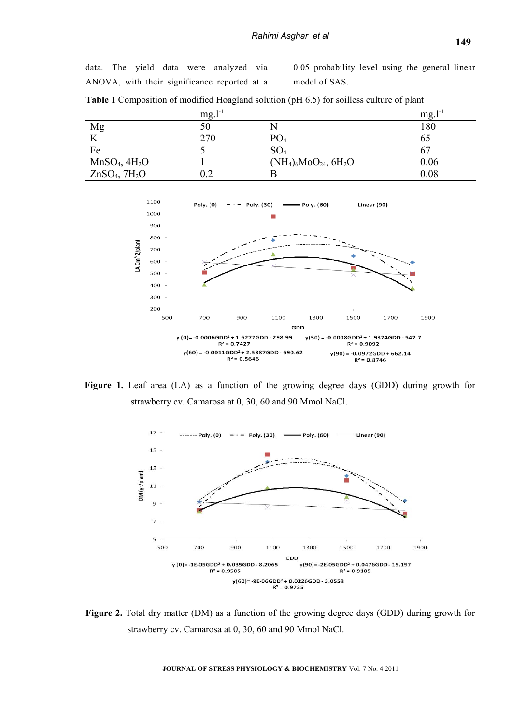data. The yield data were analyzed via ANOVA, with their significance reported at a

0.05 probability level using the general linear model of SAS.

|                                       | 1-1<br>mg. |                                        | mg.  |
|---------------------------------------|------------|----------------------------------------|------|
| Mg                                    | 50         |                                        | 180  |
|                                       | 270        | PO <sub>4</sub>                        | 65   |
| Fe                                    |            | SO <sub>4</sub>                        | 67   |
| $MnSO_4$ , $4H_2O$                    |            | $(NH_4)_6MoO_{24}$ , 6H <sub>2</sub> O | 0.06 |
| ZnSO <sub>4</sub> , 7H <sub>2</sub> O |            |                                        | 0.08 |

**Table 1** Composition of modified Hoagland solution (pH 6.5) for soilless culture of plant



**Figure 1.** Leaf area (LA) as a function of the growing degree days (GDD) during growth for strawberry cv. Camarosa at 0, 30, 60 and 90 Mmol NaCl.



**Figure 2.** Total dry matter (DM) as a function of the growing degree days (GDD) during growth for strawberry cv. Camarosa at 0, 30, 60 and 90 Mmol NaCl.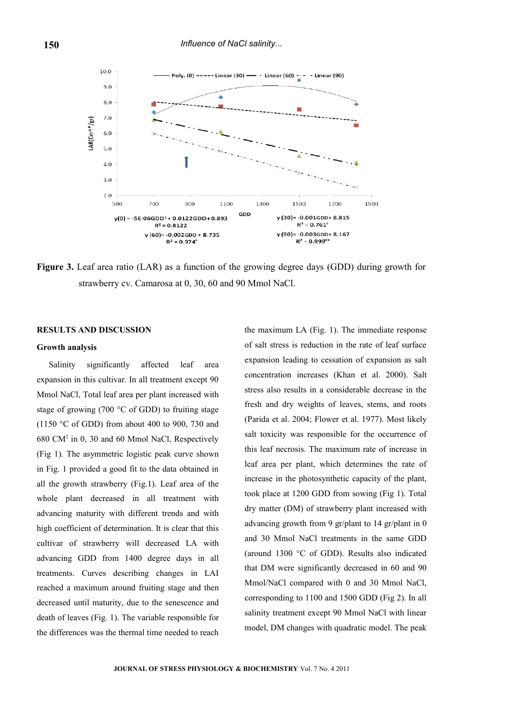

**Figure 3.** Leaf area ratio (LAR) as a function of the growing degree days (GDD) during growth for strawberry cv. Camarosa at 0, 30, 60 and 90 Mmol NaCl.

### **RESULTS AND DISCUSSION**

#### **Growth analysis**

Salinity significantly affected leaf area expansion in this cultivar. In all treatment except 90 Mmol NaCl, Total leaf area per plant increased with stage of growing (700 °C of GDD) to fruiting stage (1150 °C of GDD) from about 400 to 900, 730 and 680 CM<sup>2</sup> in 0, 30 and 60 Mmol NaCl, Respectively (Fig 1). The asymmetric logistic peak curve shown in Fig. 1 provided a good fit to the data obtained in all the growth strawberry (Fig.1). Leaf area of the whole plant decreased in all treatment with advancing maturity with different trends and with high coefficient of determination. It is clear that this cultivar of strawberry will decreased LA with advancing GDD from 1400 degree days in all treatments. Curves describing changes in LAI reached a maximum around fruiting stage and then decreased until maturity, due to the senescence and death of leaves (Fig. 1). The variable responsible for the differences was the thermal time needed to reach

the maximum LA (Fig. 1). The immediate response of salt stress is reduction in the rate of leaf surface expansion leading to cessation of expansion as salt concentration increases (Khan et al. 2000). Salt stress also results in a considerable decrease in the fresh and dry weights of leaves, stems, and roots (Parida et al. 2004; Flower et al. 1977). Most likely salt toxicity was responsible for the occurrence of this leaf necrosis. The maximum rate of increase in leaf area per plant, which determines the rate of increase in the photosynthetic capacity of the plant, took place at 1200 GDD from sowing (Fig 1). Total dry matter (DM) of strawberry plant increased with advancing growth from 9 gr/plant to 14 gr/plant in 0 and 30 Mmol NaCl treatments in the same GDD (around 1300 °C of GDD). Results also indicated that DM were significantly decreased in 60 and 90 Mmol/NaCl compared with 0 and 30 Mmol NaCl, corresponding to 1100 and 1500 GDD (Fig 2). In all salinity treatment except 90 Mmol NaCl with linear model, DM changes with quadratic model. The peak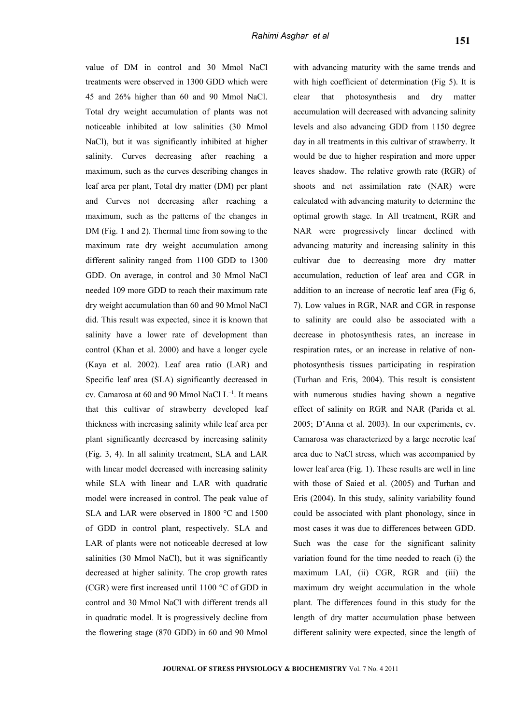value of DM in control and 30 Mmol NaCl treatments were observed in 1300 GDD which were 45 and 26% higher than 60 and 90 Mmol NaCl. Total dry weight accumulation of plants was not noticeable inhibited at low salinities (30 Mmol NaCl), but it was significantly inhibited at higher salinity. Curves decreasing after reaching a maximum, such as the curves describing changes in leaf area per plant, Total dry matter (DM) per plant and Curves not decreasing after reaching a maximum, such as the patterns of the changes in DM (Fig. 1 and 2). Thermal time from sowing to the maximum rate dry weight accumulation among different salinity ranged from 1100 GDD to 1300 GDD. On average, in control and 30 Mmol NaCl needed 109 more GDD to reach their maximum rate dry weight accumulation than 60 and 90 Mmol NaCl did. This result was expected, since it is known that salinity have a lower rate of development than control (Khan et al. 2000) and have a longer cycle (Kaya et al. 2002). Leaf area ratio (LAR) and Specific leaf area (SLA) significantly decreased in cv. Camarosa at 60 and 90 Mmol NaCl L−1. It means that this cultivar of strawberry developed leaf thickness with increasing salinity while leaf area per plant significantly decreased by increasing salinity (Fig. 3, 4). In all salinity treatment, SLA and LAR with linear model decreased with increasing salinity while SLA with linear and LAR with quadratic model were increased in control. The peak value of SLA and LAR were observed in 1800 °C and 1500 of GDD in control plant, respectively. SLA and LAR of plants were not noticeable decresed at low salinities (30 Mmol NaCl), but it was significantly decreased at higher salinity. The crop growth rates (CGR) were first increased until 1100 °C of GDD in control and 30 Mmol NaCl with different trends all in quadratic model. It is progressively decline from the flowering stage (870 GDD) in 60 and 90 Mmol

with advancing maturity with the same trends and with high coefficient of determination (Fig 5). It is clear that photosynthesis and dry matter accumulation will decreased with advancing salinity levels and also advancing GDD from 1150 degree day in all treatments in this cultivar of strawberry. It would be due to higher respiration and more upper leaves shadow. The relative growth rate (RGR) of shoots and net assimilation rate (NAR) were calculated with advancing maturity to determine the optimal growth stage. In All treatment, RGR and NAR were progressively linear declined with advancing maturity and increasing salinity in this cultivar due to decreasing more dry matter accumulation, reduction of leaf area and CGR in addition to an increase of necrotic leaf area (Fig 6, 7). Low values in RGR, NAR and CGR in response to salinity are could also be associated with a decrease in photosynthesis rates, an increase in respiration rates, or an increase in relative of nonphotosynthesis tissues participating in respiration (Turhan and Eris, 2004). This result is consistent with numerous studies having shown a negative effect of salinity on RGR and NAR (Parida et al. 2005; D'Anna et al. 2003). In our experiments, cv. Camarosa was characterized by a large necrotic leaf area due to NaCl stress, which was accompanied by lower leaf area (Fig. 1). These results are well in line with those of Saied et al. (2005) and Turhan and Eris (2004). In this study, salinity variability found could be associated with plant phonology, since in most cases it was due to differences between GDD. Such was the case for the significant salinity variation found for the time needed to reach (i) the maximum LAI, (ii) CGR, RGR and (iii) the maximum dry weight accumulation in the whole plant. The differences found in this study for the length of dry matter accumulation phase between different salinity were expected, since the length of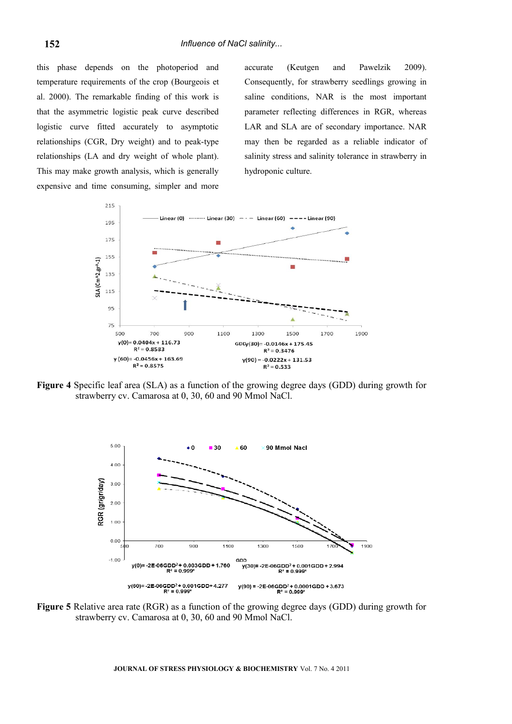this phase depends on the photoperiod and temperature requirements of the crop (Bourgeois et al. 2000). The remarkable finding of this work is that the asymmetric logistic peak curve described logistic curve fitted accurately to asymptotic relationships (CGR, Dry weight) and to peak-type relationships (LA and dry weight of whole plant). This may make growth analysis, which is generally expensive and time consuming, simpler and more

accurate (Keutgen and Pawelzik 2009). Consequently, for strawberry seedlings growing in saline conditions, NAR is the most important parameter reflecting differences in RGR, whereas LAR and SLA are of secondary importance. NAR may then be regarded as a reliable indicator of salinity stress and salinity tolerance in strawberry in hydroponic culture.



**Figure 4** Specific leaf area (SLA) as a function of the growing degree days (GDD) during growth for strawberry cv. Camarosa at 0, 30, 60 and 90 Mmol NaCl.



**Figure 5** Relative area rate (RGR) as a function of the growing degree days (GDD) during growth for strawberry cv. Camarosa at 0, 30, 60 and 90 Mmol NaCl.

**JOURNAL OF STRESS PHYSIOLOGY & BIOCHEMISTRY** Vol. 7 No. 4 2011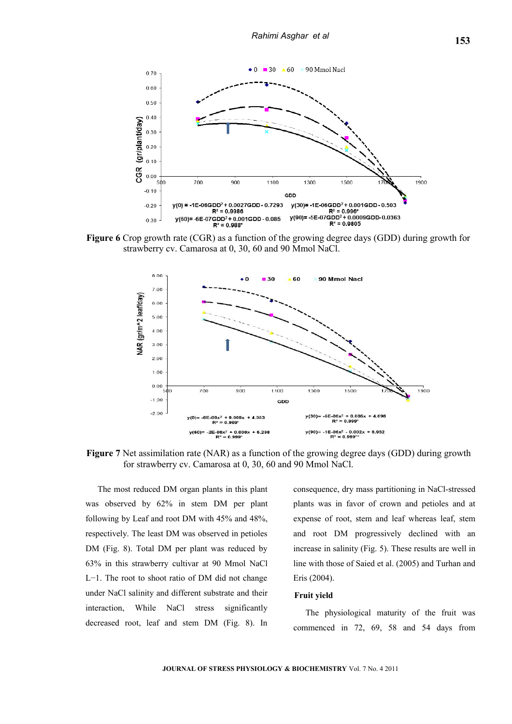

**Figure 6** Crop growth rate (CGR) as a function of the growing degree days (GDD) during growth for strawberry cv. Camarosa at 0, 30, 60 and 90 Mmol NaCl.



**Figure 7** Net assimilation rate (NAR) as a function of the growing degree days (GDD) during growth for strawberry cv. Camarosa at 0, 30, 60 and 90 Mmol NaCl.

The most reduced DM organ plants in this plant was observed by 62% in stem DM per plant following by Leaf and root DM with 45% and 48%, respectively. The least DM was observed in petioles DM (Fig. 8). Total DM per plant was reduced by 63% in this strawberry cultivar at 90 Mmol NaCl L−1. The root to shoot ratio of DM did not change under NaCl salinity and different substrate and their interaction, While NaCl stress significantly decreased root, leaf and stem DM (Fig. 8). In consequence, dry mass partitioning in NaCl-stressed plants was in favor of crown and petioles and at expense of root, stem and leaf whereas leaf, stem and root DM progressively declined with an increase in salinity (Fig. 5). These results are well in line with those of Saied et al. (2005) and Turhan and Eris (2004).

#### **Fruit yield**

The physiological maturity of the fruit was commenced in 72, 69, 58 and 54 days from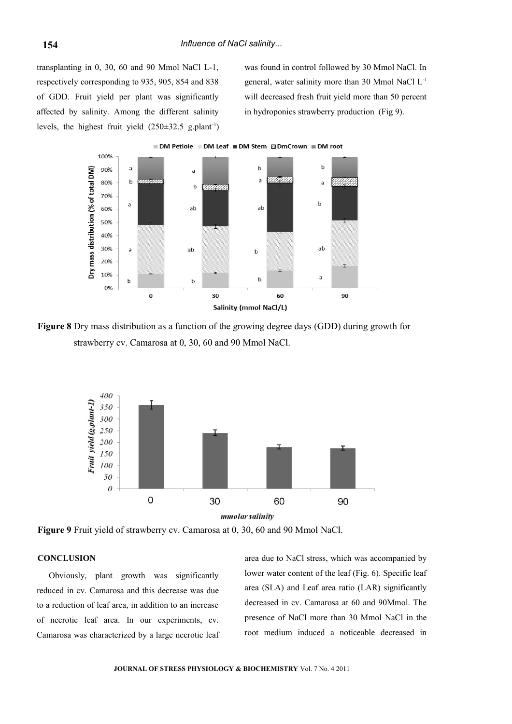transplanting in 0, 30, 60 and 90 Mmol NaCl L-1, respectively corresponding to 935, 905, 854 and 838 of GDD. Fruit yield per plant was significantly affected by salinity. Among the different salinity levels, the highest fruit yield  $(250\pm32.5 \text{ g. plant}^{-1})$  was found in control followed by 30 Mmol NaCl. In general, water salinity more than 30 Mmol NaCl L-1 will decreased fresh fruit yield more than 50 percent in hydroponics strawberry production (Fig 9).



**Figure 8** Dry mass distribution as a function of the growing degree days (GDD) during growth for strawberry cv. Camarosa at 0, 30, 60 and 90 Mmol NaCl.



**Figure 9** Fruit yield of strawberry cv. Camarosa at 0, 30, 60 and 90 Mmol NaCl.

#### **CONCLUSION**

Obviously, plant growth was significantly reduced in cv. Camarosa and this decrease was due to a reduction of leaf area, in addition to an increase of necrotic leaf area. In our experiments, cv. Camarosa was characterized by a large necrotic leaf area due to NaCl stress, which was accompanied by lower water content of the leaf (Fig. 6). Specific leaf area (SLA) and Leaf area ratio (LAR) significantly decreased in cv. Camarosa at 60 and 90Mmol. The presence of NaCl more than 30 Mmol NaCl in the root medium induced a noticeable decreased in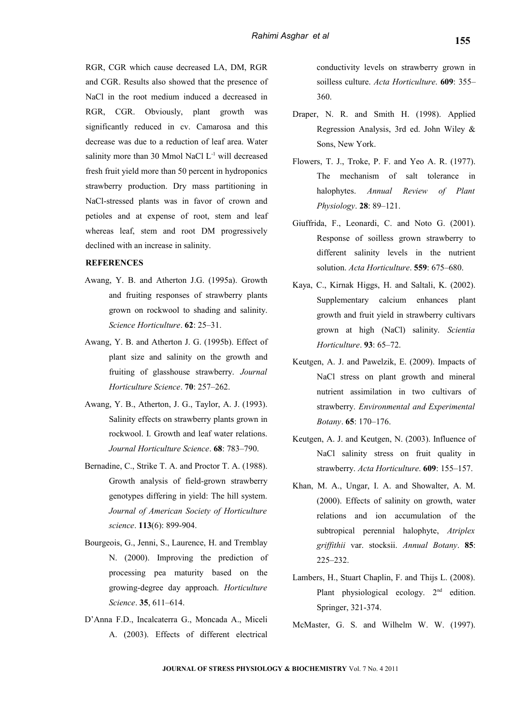RGR, CGR which cause decreased LA, DM, RGR and CGR. Results also showed that the presence of NaCl in the root medium induced a decreased in RGR, CGR. Obviously, plant growth was significantly reduced in cv. Camarosa and this decrease was due to a reduction of leaf area. Water salinity more than 30 Mmol NaCl L<sup>-1</sup> will decreased fresh fruit yield more than 50 percent in hydroponics strawberry production. Dry mass partitioning in NaCl-stressed plants was in favor of crown and petioles and at expense of root, stem and leaf whereas leaf, stem and root DM progressively declined with an increase in salinity.

## **REFERENCES**

- Awang, Y. B. and Atherton J.G. (1995a). Growth and fruiting responses of strawberry plants grown on rockwool to shading and salinity. *Science Horticulture*. **62**: 25–31.
- Awang, Y. B. and Atherton J. G. (1995b). Effect of plant size and salinity on the growth and fruiting of glasshouse strawberry. *Journal Horticulture Science*. **70**: 257–262.
- Awang, Y. B., Atherton, J. G., Taylor, A. J. (1993). Salinity effects on strawberry plants grown in rockwool. I. Growth and leaf water relations. *Journal Horticulture Science*. **68**: 783–790.
- Bernadine, C., Strike T. A. and Proctor T. A. (1988). Growth analysis of field-grown strawberry genotypes differing in yield: The hill system. *Journal of American Society of Horticulture science*. **113**(6): 899-904.
- Bourgeois, G., Jenni, S., Laurence, H. and Tremblay N. (2000). Improving the prediction of processing pea maturity based on the growing-degree day approach. *Horticulture Science*. **35**, 611–614.
- D'Anna F.D., Incalcaterra G., Moncada A., Miceli A. (2003). Effects of different electrical

conductivity levels on strawberry grown in soilless culture. *Acta Horticulture*. **609**: 355– 360.

- Draper, N. R. and Smith H. (1998). Applied Regression Analysis, 3rd ed. John Wiley & Sons, New York.
- Flowers, T. J., Troke, P. F. and Yeo A. R. (1977). The mechanism of salt tolerance in halophytes. *Annual Review of Plant Physiology*. **28**: 89–121.
- Giuffrida, F., Leonardi, C. and Noto G. (2001). Response of soilless grown strawberry to different salinity levels in the nutrient solution. *Acta Horticulture*. **559**: 675–680.
- Kaya, C., Kirnak Higgs, H. and Saltali, K. (2002). Supplementary calcium enhances plant growth and fruit yield in strawberry cultivars grown at high (NaCl) salinity. *Scientia Horticulture*. **93**: 65–72.
- Keutgen, A. J. and Pawelzik, E. (2009). Impacts of NaCl stress on plant growth and mineral nutrient assimilation in two cultivars of strawberry. *Environmental and Experimental Botany*. **65**: 170–176.
- Keutgen, A. J. and Keutgen, N. (2003). Influence of NaCl salinity stress on fruit quality in strawberry. *Acta Horticulture*. **609**: 155–157.
- Khan, M. A., Ungar, I. A. and Showalter, A. M. (2000). Effects of salinity on growth, water relations and ion accumulation of the subtropical perennial halophyte, *Atriplex griffithii* var. stocksii. *Annual Botany*. **85**: 225–232.
- Lambers, H., Stuart Chaplin, F. and Thijs L. (2008). Plant physiological ecology.  $2<sup>nd</sup>$  edition. Springer, 321-374.
- McMaster, G. S. and Wilhelm W. W. (1997).